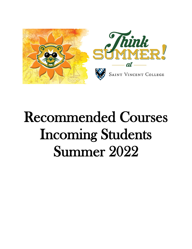

# Recommended Courses Incoming Students Summer 2022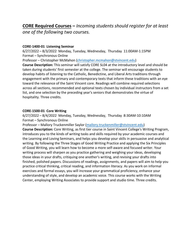**CORE Required Courses –** *Incoming students should register for at least one of the following two courses.*

#### **CORE-1400-01 Listening Seminar**

6/27/2022 – 8/3/2022 Monday, Tuesday, Wednesday, Thursday 11:00AM-1:15PM Format – Synchronous Online

Professor – Christopher McMahon [\(christopher.mcmahon@stvincent.edu](christopher.mcmahon@stvincent.edu))

**Course Description:** This seminar will satisfy CORE SL04 at the introductory level and should be taken during students' first semester at the college. The seminar will encourage students to develop habits of listening to the Catholic, Benedictine, and Liberal Arts traditions through engagement with the primary and contemporary texts that inform these traditions with an eye toward the relevance of the Saint Vincent core. Readings will combine required selections across all sections, recommended and optional texts chosen by individual instructors from a set list, and one selection by the preceding year's seniors that demonstrates the virtue of hospitality. Three credits.

#### **CORE-1500-01 Core Writing**

6/27/2022 – 8/4/2022 Monday, Tuesday, Wednesday, Thursday 8:30AM-10:10AM Format – Synchronous Online

Professor – Mallory Truckenmiller Saylor ([mallory.truckenmiller@stvincent.edu\)](mallory.truckenmiller@stvincent.edu)

**Course Description:** Core Writing, as first tier course in Saint Vincent College's Writing Program, introduces you to the kinds of writing tasks and skills required by your academic courses and the Learning and Loving Seminars, and helps you develop your skills in persuasive and analytical writing. By following the Three Stages of Good Writing Practice and applying the Six Principles of Good Writing, you will learn how to become a more self-aware and focused writer. Your writing process will sharpen as you practice gathering and weighing your ideas, developing those ideas in your drafts, critiquing one another's writing, and revising your drafts into finished, polished papers. Discussions of readings, assignments, and papers will aim to help you practice critical thinking, critical reading, and information literacy. As you work on informal exercises and formal essays, you will increase your grammatical proficiency, enhance your understanding of style, and develop an academic voice. This course works with the Writing Center, employing Writing Associates to provide support and studio time. Three credits.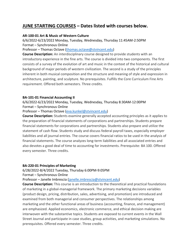# **JUNE STARTING COURSES – Dates listed with courses below.**

#### **AR-100-01 Art & Music of Western Culture**

6/6/2022-6/23/2022 Monday, Tuesday, Wednesday, Thursday 11:45AM-2:50PM Format – Synchronous Online

Professor – Thomas Octave [\(thomas.octave@stvincent.edu\)](mailto:thomas.octave@stvincent.edu)

**Course Description:** An interdisciplinary course designed to provide students with an introductory experience in the fine arts. The course is divided into two components. The first consists of a survey of the evolution of art and music in the context of the historical and cultural background of major periods of western civilization. The second is a study of the principles inherent in both musical composition and the structure and meaning of style and expression in architecture, painting, and sculpture. No prerequisites. Fulfills the Core Curriculum Fine Arts requirement. Offered both semesters. Three credits.

# **BA-101-01 Financial Accounting II**

6/6/2022-6/23/2022 Monday, Tuesday, Wednesday, Thursday 8:30AM-12:00PM Format – Synchronous Online

Professor – Thomas Octave [\(eva.kunkel@stvincent.edu\)](mailto:eva.kunkel@stvincent.edu)

**Course Description:** Students examine generally accepted accounting principles as it applies to the preparation of financial statements of corporations and partnerships. Students prepare financial statements for corporations and partnerships. Students also prepare and utilize the statement of cash flow. Students study and discuss federal payroll taxes, especially employer liabilities and all journal entries. The course covers financial ratios to be used in the analysis of financial statements. The course analyzes long-term liabilities and all associated entries and also devotes a good deal of time to accounting for investments. Prerequisite: BA 100. Offered every semester. Three credits.

#### **BA-220-01 Principles of Marketing**

6/28/2022-8/4/2022 Tuesday, Thursday 6:00PM-9:05PM

Format – Synchronous Online

Professor – Janelle Imbrescia [\(janelle.imbrescia@stvincent.edu\)](mailto:janelle.imbrescia@stvincent.edu)

**Course Description:** This course is an introduction to the theoretical and practical foundations of marketing in a global-managerial framework. The primary marketing decisions variables (product design, pricing, distribution, sales, advertising, and promotion) are introduced and examined from both managerial and consumer perspectives. The relationships among marketing and the other functional areas of business (accounting, finance, and management) are emphasized. Applied economics, electronic commerce, and ethical decision making are interwoven with the substantive topics. Students are exposed to current events in the Wall Street Journal and participate in case studies, group activities, and marketing simulations. No prerequisites. Offered every semester. Three credits.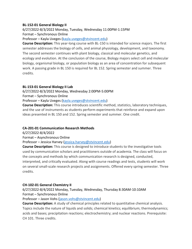#### **BL-152-01 General Biology II**

6/27/2022-8/3/2022 Monday, Tuesday, Wednesday 11:00PM-1:15PM Format – Synchronous Online

Professor – Kayla Uveges [\(kayla.uveges@stvincent.edu\)](mailto:kayla.uveges@stvincent.edu)

**Course Description:** This year-long course with BL-150 is intended for science majors. The first semester addresses the biology of cells, and animal physiology, development, and taxonomy. The second semester continues with plant biology, classical and molecular genetics, and ecology and evolution. At the conclusion of the course, Biology majors select cell and molecular biology, organismal biology, or population biology as an area of concentration for subsequent work. A passing grade in BL 150 is required for BL 152. Spring semester and summer. Three credits.

#### **BL-153-01 General Biology II Lab**

6/27/2022-8/3/2022 Monday, Wednesday 2:00PM-5:00PM

Format – Synchronous Online

Professor – Kayla Uveges [\(kayla.uveges@stvincent.edu\)](mailto:kayla.uveges@stvincent.edu)

**Course Description:** This course introduces scientific method, statistics, laboratory techniques, and the use of instruments as students perform experiments that reinforce and expand upon ideas presented in BL 150 and 152. Spring semester and summer. One credit.

#### **CA-201-01 Communication Research Methods**

6/27/2022-8/4/2022

Format – Asynchronous Online

Professor – Jessica Harvey [\(jessica.harvey@stvincent.edu\)](mailto:jessica.harvey@stvincent.edu)

**Course Description:** This course is designed to introduce students to the investigative tools used by communication scholars and practitioners outside of academia. The class will focus on the concepts and methods by which communication research is designed, conducted, interpreted, and critically evaluated. Along with course readings and tests, students will work on several small-scale research projects and assignments. Offered every spring semester. Three credits.

# **CH-102-01 General Chemistry II**

6/27/2022-8/4/2022 Monday, Tuesday, Wednesday, Thursday 8:30AM-10:10AM Format – Synchronous Online

Professor – Jason Vohs [\(jason.vohs@stvincent.edu\)](mailto:jason.vohs@stvincent.edu)

**Course Description:** A study of chemical principles related to quantitative chemical analysis. Topics include the nature of liquids and solids; chemical kinetics; equilibrium; thermodynamics; acids and bases; precipitation reactions; electrochemistry; and nuclear reactions. Prerequisite: CH 101. Three credits.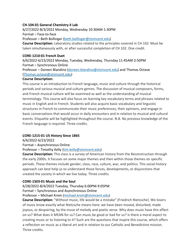### **CH-104-01 General Chemistry II Lab**

6/27/2022-8/3/2022 Monday, Wednesday 10:30AM-1:30PM Format – Face-to-face Professor – Beth Bollinger [\(beth.bollinger@stvincent.edu\)](mailto:beth.bollinger@stvincent.edu)

**Course Description:** Laboratory studies related to the principles covered in CH 102. Must be taken simultaneously with, or after successful completion of CH 102. One credit.

#### **CORE-1210-01 French Duet**

6/6/2022-6/23/2022 Monday, Tuesday, Wednesday, Thursday 11:45AM-2:50PM Format – Synchronous Online

Professor – Doreen Blandino [\(doreen.blandino@stvincent.edu\)](mailto:doreen.blandino@stvincent.edu) and Thomas Octave [\(Thomas.octave@stvincent.edu\)](mailto:Thomas.octave@stvincent.edu)

#### **Course Description:**

This course is an introduction to French language, music and culture through the historical periods and various musical and culture genres. The discussion of musical composers, forms, and French musical culture will be examined as well as the understanding of musical terminology. This course will also focus on learning key vocabulary terms and phrases related to music in English and in French. Students will also acquire basic vocabulary and linguistic structures in French to communicate their music preferences, their opinions, and engage in basic conversations that would occur in daily encounters and in relation to musical and cultural events. Etiquette will be highlighted throughout the course. N.B. No previous knowledge of the French language is required. Three credits.

#### **CORE-1215-01 US History Since 1865**

6/6/2022-6/23/2022

Format – Asynchronous Online Professor – Timothy Kelly [\(tim.kelly@stvincent.edu\)](mailto:tim.kelly@stvincent.edu)

**Course Description:** This class is a survey of American history from the Reconstruction through the early 2000s. It focuses on some major themes and then within those themes on specific periods. These themes include gender, class, race, culture, war, and politics. This social history approach can best help us to understand those forces, developments, or disjunctions that created the society in which we live today. Three credits.

#### **CORE-1503-01 Music and the Soul**

6/28/2022-8/4/2022 Tuesday, Thursday 6:00PM-9:05PM

Format – Synchronous and Asynchronous Online

Professor – Michael Krom [\(michael.krom@stvincent.edu\)](mailto:michael.krom@stvincent.edu)

**Course Description:** "Without music, life would be a mistake" (Friedrich Nietzsche). We lovers of music know exactly what Nietzsche means here: we have been moved, disturbed, made joyous, or despairing, by the muse of melody and poetic verse. Why does music have this effect on us? What does it MEAN for us? Can music be good or bad for us? Is there a moral aspect to creating music or to listening to it? Such are the questions that inspire this course, which offers a reflection on music as a liberal art and in relation to our Catholic and Benedictine mission. Three credits.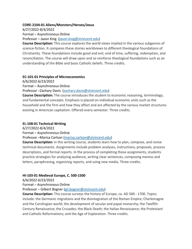#### **CORE-2104-01 Aliens/Monsters/Heroes/Jesus**

6/27/2022-8/4/2022

Format – Asynchronous Online

Professor – Jason King [\(jason.king@stvincent.edu\)](mailto:jason.king@stvincent.edu)

**Course Description:** This course explores the world views implied in the various subgenres of science-fiction. It compares these stories worldviews to different theological foundations of Christianity. These foundations include good and evil, end of time, suffering, redemption, and reconciliation. The course will draw upon and so reinforce theological foundations such as an understanding of the Bible and basic Catholic beliefs. Three credits.

#### **EC-101-01 Principles of Microeconomics**

6/6/2022-6/23/2022

Format – Asynchronous Online

Professor –Zachary Davis [\(zachary.davis@stvincent.edu\)](mailto:zachary.davis@stvincent.edu)

**Course Description:** The course introduces the student to economic reasoning, terminology, and fundamental concepts. Emphasis is placed on individual economic units such as the household and the firm and how they affect and are affected by the various market structures existing in American capitalism. Offered every semester. Three credits.

# **EL-108-01 Technical Writing**

6/27/2022-8/4/2022

Format – Asynchronous Online

Professor –Marisa Carlson [\(marisa.carlson@stvincent.edu\)](mailto:marisa.carlson@stvincent.edu)

**Course Description:** In this writing course, students learn how to plan, compose, and revise technical documents. Assignments include problem analyses, instructions, proposals, process descriptions, and formal reports. In the process of completing these assignments, students practice strategies for analyzing audience, writing clear sentences, composing memos and letters, paraphrasing, organizing reports, and using new media. Three credits.

# **HI-103-01 Medieval Europe, C. 500-1500**

6/6/2022-6/23/2022

Format – Asynchronous Online

Professor – Gilbert Bogner [\(gil.bogner@stvincent.edu\)](mailto:gil.bogner@stvincent.edu)

**Course Description:** This course surveys the history of Europe, ca. AD 500 - 1700. Topics include: the Germanic migrations and the disintegration of the Roman Empire; Charlemagne and the Carolingian world; the development of secular and papal monarchy; the Twelfth-Century Renaissance; the Crusades; the Black Death; the Italian Renaissance; the Protestant and Catholic Reformations; and the Age of Exploration. Three credits.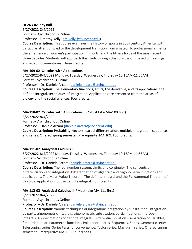### **HI-263-02 Play Ball**

6/27/2022-8/4/2022 Format – Asynchronous Online

Professor –Timothy Kelly [\(tim.kelly@stvincent.edu\)](mailto:tim.kelly@stvincent.edu)

**Course Description:** This course examines the history of sports in 20th century America, with particular attention paid to the development transition from amateur to professional athletics, the emergence of women's participation in sports, and the fitness focus of the most recent three decades. Students will approach this study through class discussions based on readings and video documentaries. Three credits.

#### **MA-109-02 Calculus with Applications I**

6/27/2022-8/4/2022 Monday, Tuesday, Wednesday, Thursday 10:15AM-11:55AM Format – Synchronous Online

Professor – Dr. Daniele Arcara [\(daniele.arcara@stvincent.edu\)](mailto:daniele.arcara@stvincent.edu)

**Course Description:** The elementary functions, limits, the derivative, and its applications, the definite integral, techniques of integration. Applications are presented from the areas of biology and the social sciences. Four credits.

# **MA-110-02 Calculus with Applications II** (\*Must take MA-109 first)

6/27/2022-8/4/2022

Format – Asynchronous Online

Professor – Daniele Arcara [\(daniele.arcara@stvincent.edu\)](mailto:daniele.arcara@stvincent.edu)

**Course Description:** Probability, vectors, partial differentiation, multiple integration, sequences, and series. Offered spring semester. Prerequisite: MA 109. Four credits.

# **MA-111-02 Analytical Calculus I**

6/27/2022-8/4/2022 Monday, Tuesday, Wednesday, Thursday 10:15AM-11:55AM Format – Synchronous Online

Professor – Dr. Daniele Arcara [\(daniele.arcara@stvincent.edu\)](mailto:daniele.arcara@stvincent.edu)

**Course Description:** The real number system. Limits and continuity. The concepts of differentiation and integration. Differentiation of algebraic and trigonometric functions and applications. The Mean Value Theorem. The definite integral and the Fundamental Theorem of Calculus. Applications of the definite integral. Four credits

# **MA-112-02 Analytical Calculus II** (\*Must take MA-111 first)

6/27/2022-8/4/2022

Format – Asynchronous Online

Professor – Dr. Daniele Arcara [\(daniele.arcara@stvincent.edu\)](mailto:daniele.arcara@stvincent.edu)

**Course Description:** Various techniques of integration: integration by substitution, integration by parts, trigonometric integrals, trigonometric substitution, partial fractions. Improper integrals. Approximations of definite integrals. Differential Equations: separation of variables, first order linear. Parametric functions. Polar coordinates. Sequences. Series. Geometric series. Telescoping series. Series tests for convergence. Taylor series. Maclaurin series. Offered spring semester. Prerequisite: MA 111. Four credits.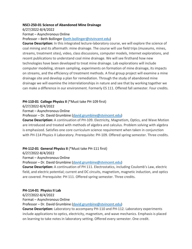### **NSCI-250-01 Science of Abandoned Mine Drainage**

6/27/2022-8/4/2022

Format – Asynchronous Online

Professor – Beth Bollinger [\(beth.bollinger@stvincent.edu\)](mailto:beth.bollinger@stvincent.edu)

**Course Description:** In this integrated lecture-laboratory course, we will explore the science of coal mining and its aftermath: mine drainage. The course will use field trips (museums, mines, streams, treatment sites), video, class discussions, computer models, Internet explorations, and recent publications to understand coal mine drainage. We will see firsthand how new technologies have been developed to treat mine drainage. Lab explorations will include computer modeling, stream sampling, experiments on formation of mine drainage, its impacts on streams, and the efficiency of treatment methods. A final group project will examine a mine drainage site and develop a plan for remediation. Through the study of abandoned mine drainage we will examine the interrelationships in nature and see that by working together we can make a difference in our environment. Formerly ES 111. Offered fall semester. Four credits.

# **PH-110-01 College Physics II** (\*Must take PH-109 first)

6/27/2022-8/4/2022

Format – Asynchronous Online

Professor – Dr. David Grumbine [\(david.grumbine@stvincent.edu\)](mailto:david.grumbine@stvincent.edu)

**Course Description:** A continuation of PH-109. Electricity, Magnetism, Optics, and Wave Motion are introduced and treated with methods of algebra and calculus. Problem solving with algebra is emphasized. Satisfies one core curriculum science requirement when taken in conjunction with PH-114 Physics II Laboratory. Prerequisite: PH-109. Offered spring semester. Three credits.

# **PH-112-01 General Physics II** (\*Must take PH-111 first)

6/27/2022-8/4/2022

Format – Asynchronous Online

Professor – Dr. David Grumbine [\(david.grumbine@stvincent.edu\)](mailto:david.grumbine@stvincent.edu)

**Course Description:** A continuation of PH 111. Electrostatics, including Coulomb's Law, electric field, and electric potential; current and DC circuits, magnetism, magnetic induction, and optics are covered. Prerequisite: PH 111. Offered spring semester. Three credits.

# **PH-114-01 Physics II Lab**

6/27/2022-8/4/2022

Format – Asynchronous Online

Professor – Dr. David Grumbine [\(david.grumbine@stvincent.edu\)](mailto:david.grumbine@stvincent.edu)

**Course Description:** Laboratory to accompany PH-110 and PH-112. Laboratory experiments include applications to optics, electricity, magnetism, and wave mechanics. Emphasis is placed on learning to take notes in laboratory setting. Offered every semester. One credit.